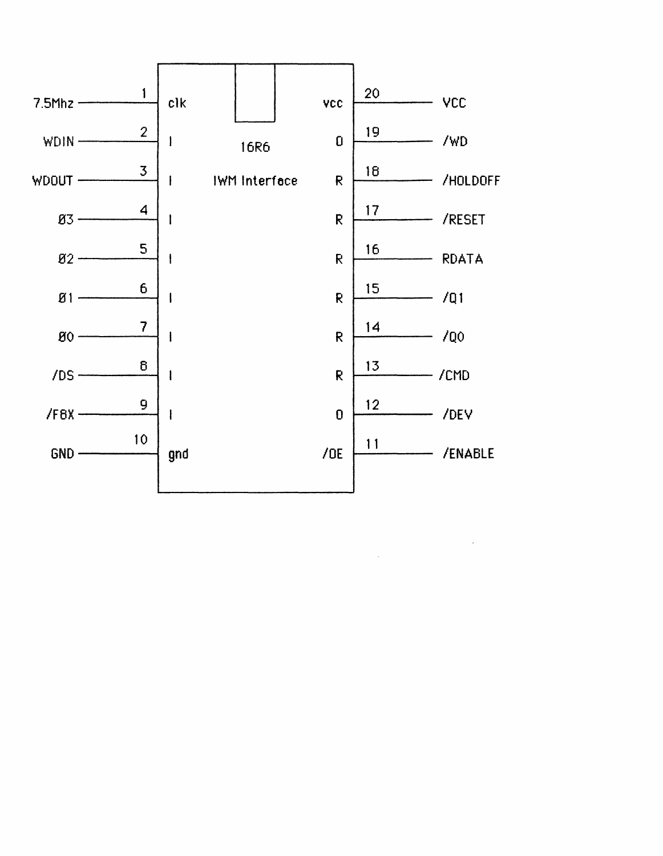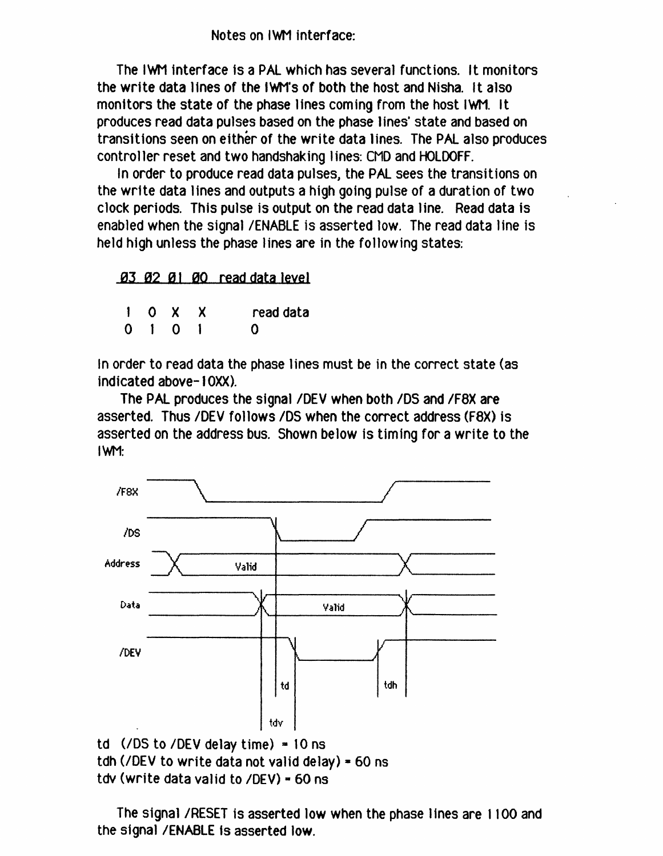Notes on IWM interface:

The IWM interface is a PAL which has several functions. It monitors the write data lines of the IWM's of both the host and Nisha. It also monitors the state of the phase Hnes coming from the host IWH. It produces read data pulses based on the phase lines' state and based on transitions seen on either of the write data lines. The PAL also produces controller reset and two handshaking lines: CMD and HOLDOFF.

In order to produce read data pulses, the PAL sees the transitions on the write data lines and outputs a high going pulse of a duration of two clock periods. This pulse is output on the read data line. Read data is enabled when the signal /ENABLE is asserted low. The read data line is held high unless the phase lines are in the following states:

03 02 01 00 read data level

|  | $1$ O X X                   | read data |
|--|-----------------------------|-----------|
|  | $0 \quad 1 \quad 0 \quad 1$ | o         |

In order to read data the phase lines must be in the correct state (as indicated above-I OXX).

The PAL produces the signal IDEV when both *IDS* and *IFaX* are asserted. Thus /DEV follows /DS when the correct address (F8X) is asserted on the address bus. Shown below is timing for a write to the IWM:



```
tdv (write data valid to \sqrt{DEV}) = 60 ns
```
The signal /RESET is asserted low when the phase lines are 1100 and the signal /ENABLE is asserted low.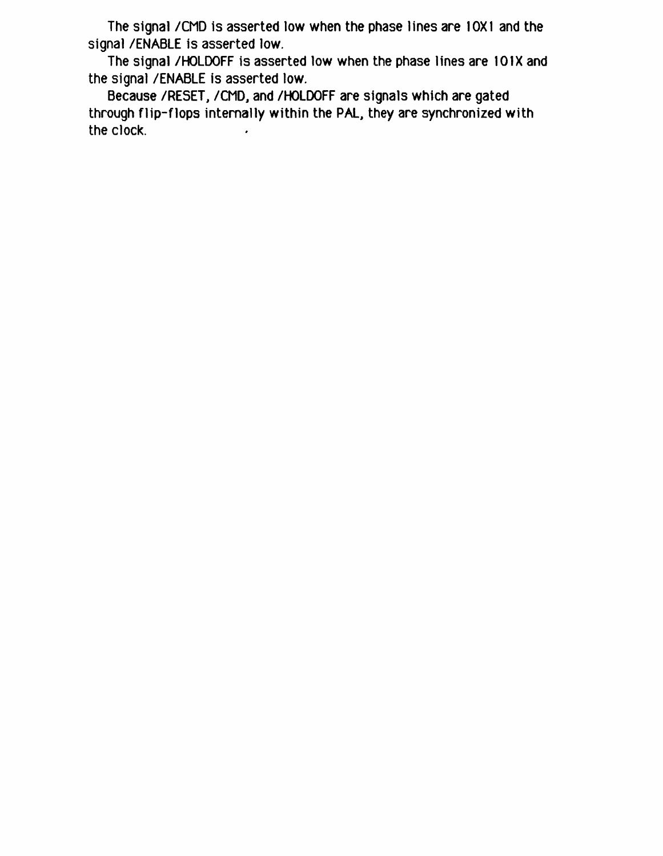The signal / CMD is asserted low when the phase lines are 10X1 and the signal /ENABLE is asserted low.

The signal /HOLDOFF is asserted low when the phase lines are 101X and the signal /ENABLE is asserted low.

Because /RESET, /CMD, and /HOLDOFF are signals which are gated through flip-flops internally within the PAL, they are synchronized with the clock.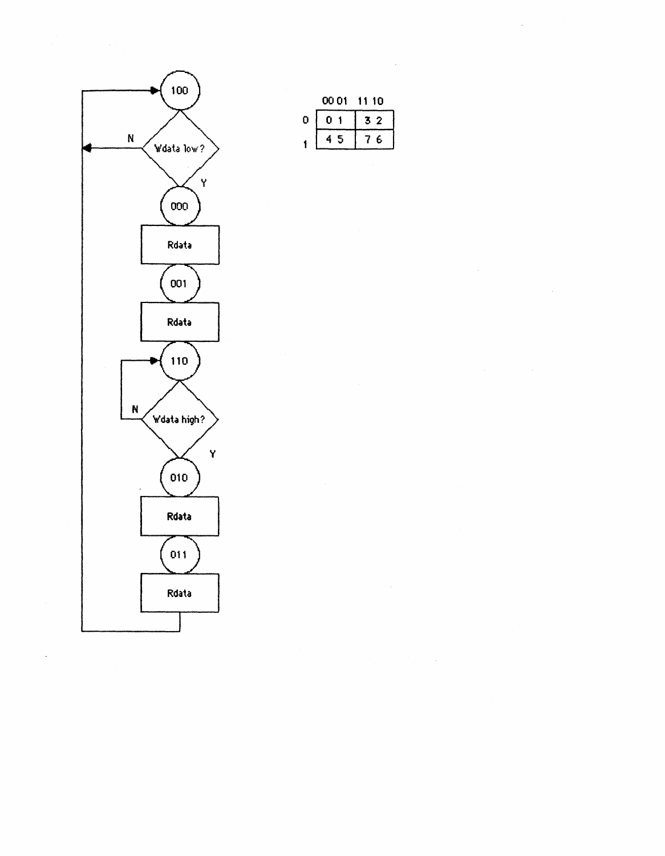

 $\ddot{\phantom{1}}$ 

|   | 00 01 | 10       |  |  |  |  |  |
|---|-------|----------|--|--|--|--|--|
| o | Н     | 2<br>-94 |  |  |  |  |  |
|   | 5     | F.       |  |  |  |  |  |

 $\bar{z}$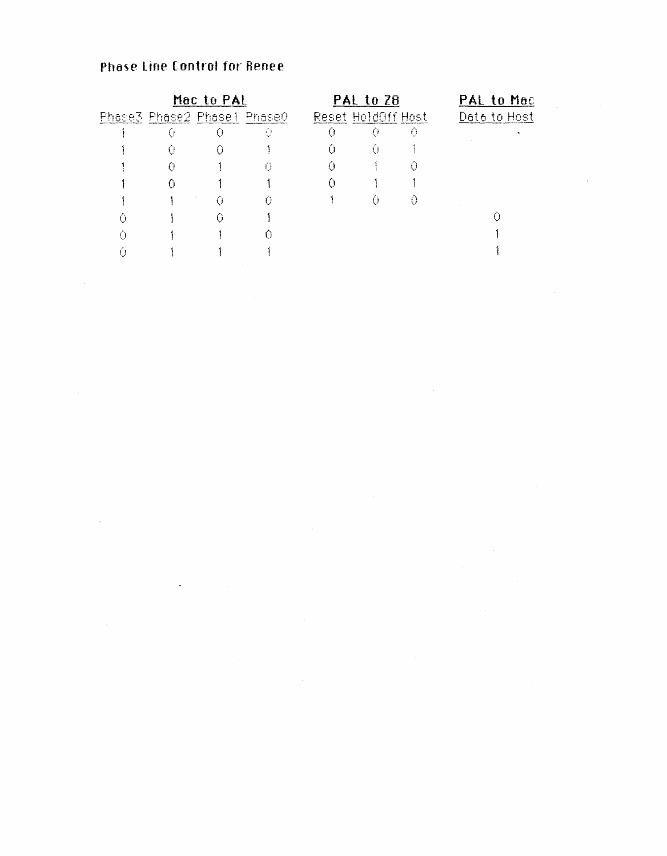## **Phase Line Control for Renee**

 $\sim 10^{11}$ 

 $\mathcal{L}^{\mathcal{L}}(\mathcal{L}^{\mathcal{L}})$  . The set of  $\mathcal{L}^{\mathcal{L}}(\mathcal{L}^{\mathcal{L}})$ 

| Mac to PAL |                             |   |   |                    | PAL to 28 | PAL to Mac   |  |  |  |  |
|------------|-----------------------------|---|---|--------------------|-----------|--------------|--|--|--|--|
|            | Phase3 Phase2 Phase1 Phase0 |   |   | Reset HoldOff Host |           | Data to Host |  |  |  |  |
|            | Ü                           | 0 | O | Ű                  | ⊙         | Û            |  |  |  |  |
|            | O                           | O |   |                    | Ü         |              |  |  |  |  |
|            | O                           |   | Û | 0                  |           | O            |  |  |  |  |
|            |                             |   |   |                    |           |              |  |  |  |  |
|            |                             |   |   |                    | 0         | 0            |  |  |  |  |
|            |                             |   |   |                    |           |              |  |  |  |  |
|            |                             |   |   |                    |           |              |  |  |  |  |
|            |                             |   |   |                    |           |              |  |  |  |  |

 $\hat{\mathcal{A}}$ 

 $\sim$  1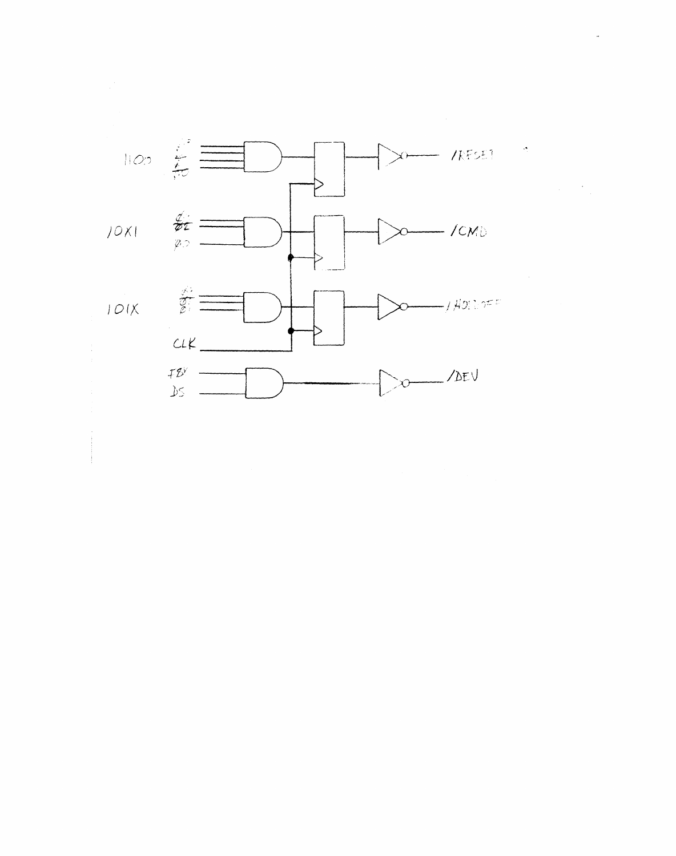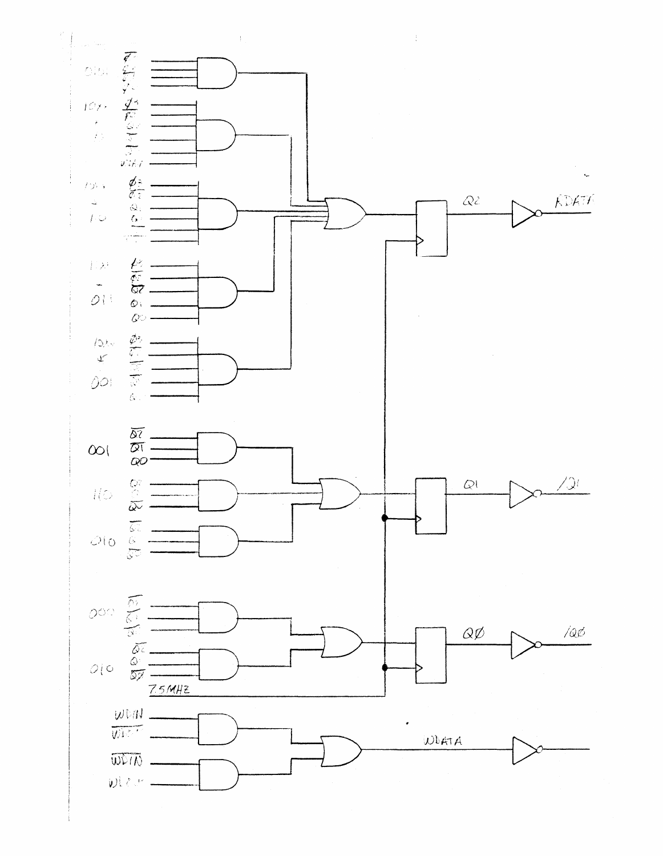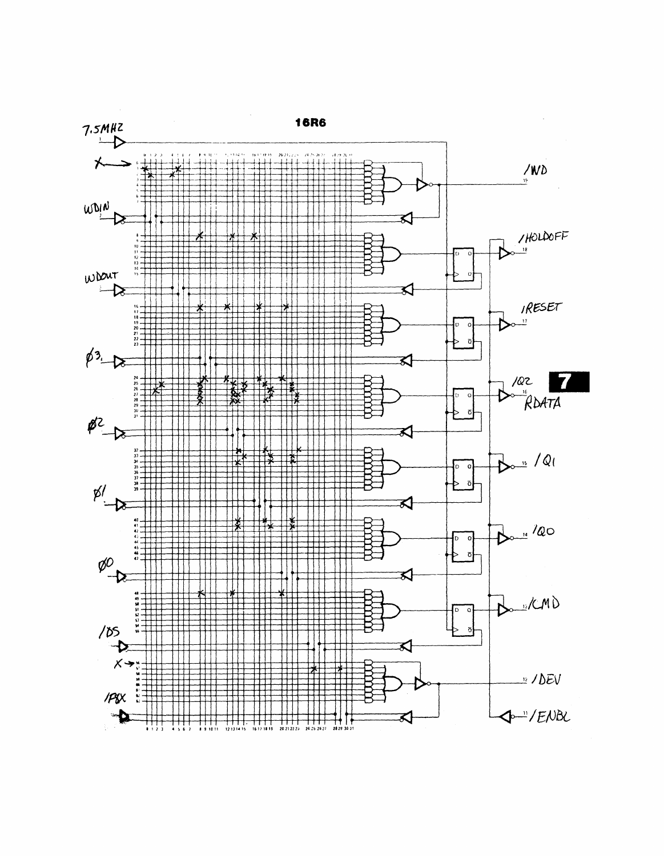